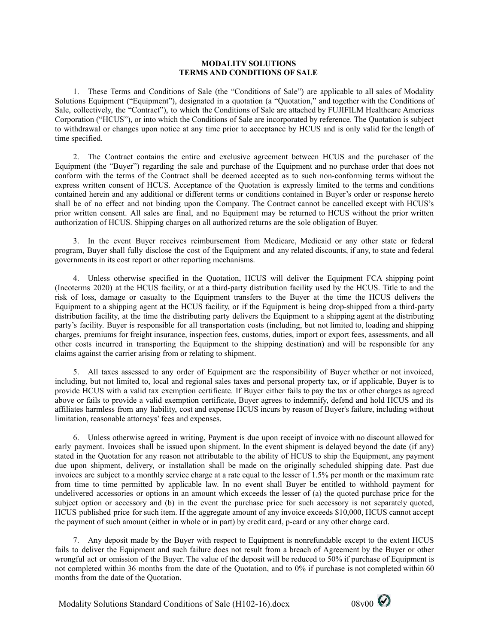## **MODALITY SOLUTIONS TERMS AND CONDITIONS OF SALE**

1. These Terms and Conditions of Sale (the "Conditions of Sale") are applicable to all sales of Modality Solutions Equipment ("Equipment"), designated in a quotation (a "Quotation," and together with the Conditions of Sale, collectively, the "Contract"), to which the Conditions of Sale are attached by FUJIFILM Healthcare Americas Corporation ("HCUS"), or into which the Conditions of Sale are incorporated by reference. The Quotation is subject to withdrawal or changes upon notice at any time prior to acceptance by HCUS and is only valid for the length of time specified.

2. The Contract contains the entire and exclusive agreement between HCUS and the purchaser of the Equipment (the "Buyer") regarding the sale and purchase of the Equipment and no purchase order that does not conform with the terms of the Contract shall be deemed accepted as to such non-conforming terms without the express written consent of HCUS. Acceptance of the Quotation is expressly limited to the terms and conditions contained herein and any additional or different terms or conditions contained in Buyer's order or response hereto shall be of no effect and not binding upon the Company. The Contract cannot be cancelled except with HCUS's prior written consent. All sales are final, and no Equipment may be returned to HCUS without the prior written authorization of HCUS. Shipping charges on all authorized returns are the sole obligation of Buyer.

3. In the event Buyer receives reimbursement from Medicare, Medicaid or any other state or federal program, Buyer shall fully disclose the cost of the Equipment and any related discounts, if any, to state and federal governments in its cost report or other reporting mechanisms.

4. Unless otherwise specified in the Quotation, HCUS will deliver the Equipment FCA shipping point (Incoterms 2020) at the HCUS facility, or at a third-party distribution facility used by the HCUS. Title to and the risk of loss, damage or casualty to the Equipment transfers to the Buyer at the time the HCUS delivers the Equipment to a shipping agent at the HCUS facility, or if the Equipment is being drop-shipped from a third-party distribution facility, at the time the distributing party delivers the Equipment to a shipping agent at the distributing party's facility. Buyer is responsible for all transportation costs (including, but not limited to, loading and shipping charges, premiums for freight insurance, inspection fees, customs, duties, import or export fees, assessments, and all other costs incurred in transporting the Equipment to the shipping destination) and will be responsible for any claims against the carrier arising from or relating to shipment.

5. All taxes assessed to any order of Equipment are the responsibility of Buyer whether or not invoiced, including, but not limited to, local and regional sales taxes and personal property tax, or if applicable, Buyer is to provide HCUS with a valid tax exemption certificate. If Buyer either fails to pay the tax or other charges as agreed above or fails to provide a valid exemption certificate, Buyer agrees to indemnify, defend and hold HCUS and its affiliates harmless from any liability, cost and expense HCUS incurs by reason of Buyer's failure, including without limitation, reasonable attorneys' fees and expenses.

6. Unless otherwise agreed in writing, Payment is due upon receipt of invoice with no discount allowed for early payment. Invoices shall be issued upon shipment. In the event shipment is delayed beyond the date (if any) stated in the Quotation for any reason not attributable to the ability of HCUS to ship the Equipment, any payment due upon shipment, delivery, or installation shall be made on the originally scheduled shipping date. Past due invoices are subject to a monthly service charge at a rate equal to the lesser of 1.5% per month or the maximum rate from time to time permitted by applicable law. In no event shall Buyer be entitled to withhold payment for undelivered accessories or options in an amount which exceeds the lesser of (a) the quoted purchase price for the subject option or accessory and (b) in the event the purchase price for such accessory is not separately quoted, HCUS published price for such item. If the aggregate amount of any invoice exceeds \$10,000, HCUS cannot accept the payment of such amount (either in whole or in part) by credit card, p-card or any other charge card.

7. Any deposit made by the Buyer with respect to Equipment is nonrefundable except to the extent HCUS fails to deliver the Equipment and such failure does not result from a breach of Agreement by the Buyer or other wrongful act or omission of the Buyer. The value of the deposit will be reduced to 50% if purchase of Equipment is not completed within 36 months from the date of the Quotation, and to 0% if purchase is not completed within 60 months from the date of the Quotation.

Modality Solutions Standard Conditions of Sale (H102-16).docx 08v00  $\bigotimes$ 

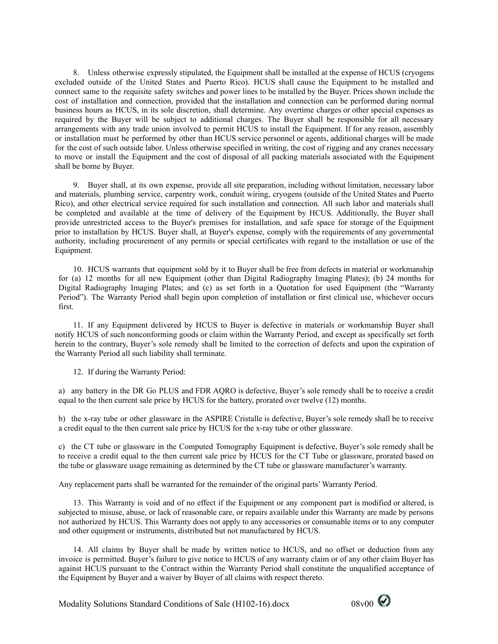8. Unless otherwise expressly stipulated, the Equipment shall be installed at the expense of HCUS (cryogens excluded outside of the United States and Puerto Rico). HCUS shall cause the Equipment to be installed and connect same to the requisite safety switches and power lines to be installed by the Buyer. Prices shown include the cost of installation and connection, provided that the installation and connection can be performed during normal business hours as HCUS, in its sole discretion, shall determine. Any overtime charges or other special expenses as required by the Buyer will be subject to additional charges. The Buyer shall be responsible for all necessary arrangements with any trade union involved to permit HCUS to install the Equipment. If for any reason, assembly or installation must be performed by other than HCUS service personnel or agents, additional charges will be made for the cost of such outside labor. Unless otherwise specified in writing, the cost of rigging and any cranes necessary to move or install the Equipment and the cost of disposal of all packing materials associated with the Equipment shall be borne by Buyer.

9. Buyer shall, at its own expense, provide all site preparation, including without limitation, necessary labor and materials, plumbing service, carpentry work, conduit wiring, cryogens (outside of the United States and Puerto Rico), and other electrical service required for such installation and connection. All such labor and materials shall be completed and available at the time of delivery of the Equipment by HCUS. Additionally, the Buyer shall provide unrestricted access to the Buyer's premises for installation, and safe space for storage of the Equipment prior to installation by HCUS. Buyer shall, at Buyer's expense, comply with the requirements of any governmental authority, including procurement of any permits or special certificates with regard to the installation or use of the Equipment.

10. HCUS warrants that equipment sold by it to Buyer shall be free from defects in material or workmanship for (a) 12 months for all new Equipment (other than Digital Radiography Imaging Plates); (b) 24 months for Digital Radiography Imaging Plates; and (c) as set forth in a Quotation for used Equipment (the "Warranty Period"). The Warranty Period shall begin upon completion of installation or first clinical use, whichever occurs first.

11. If any Equipment delivered by HCUS to Buyer is defective in materials or workmanship Buyer shall notify HCUS of such nonconforming goods or claim within the Warranty Period, and except as specifically set forth herein to the contrary, Buyer's sole remedy shall be limited to the correction of defects and upon the expiration of the Warranty Period all such liability shall terminate.

12. If during the Warranty Period:

a) any battery in the DR Go PLUS and FDR AQRO is defective, Buyer's sole remedy shall be to receive a credit equal to the then current sale price by HCUS for the battery, prorated over twelve (12) months.

b) the x-ray tube or other glassware in the ASPIRE Cristalle is defective, Buyer's sole remedy shall be to receive a credit equal to the then current sale price by HCUS for the x-ray tube or other glassware.

c) the CT tube or glassware in the Computed Tomography Equipment is defective, Buyer's sole remedy shall be to receive a credit equal to the then current sale price by HCUS for the CT Tube or glassware, prorated based on the tube or glassware usage remaining as determined by the CT tube or glassware manufacturer's warranty.

Any replacement parts shall be warranted for the remainder of the original parts' Warranty Period.

13. This Warranty is void and of no effect if the Equipment or any component part is modified or altered, is subjected to misuse, abuse, or lack of reasonable care, or repairs available under this Warranty are made by persons not authorized by HCUS. This Warranty does not apply to any accessories or consumable items or to any computer and other equipment or instruments, distributed but not manufactured by HCUS.

14. All claims by Buyer shall be made by written notice to HCUS, and no offset or deduction from any invoice is permitted. Buyer's failure to give notice to HCUS of any warranty claim or of any other claim Buyer has against HCUS pursuant to the Contract within the Warranty Period shall constitute the unqualified acceptance of the Equipment by Buyer and a waiver by Buyer of all claims with respect thereto.

Modality Solutions Standard Conditions of Sale (H102-16).docx 08v00

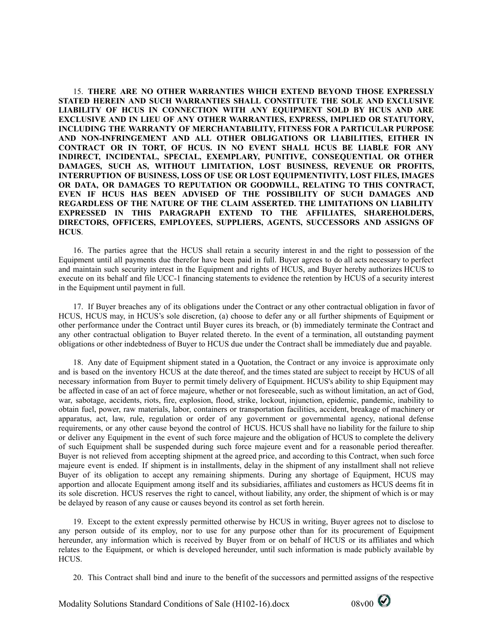15. **THERE ARE NO OTHER WARRANTIES WHICH EXTEND BEYOND THOSE EXPRESSLY STATED HEREIN AND SUCH WARRANTIES SHALL CONSTITUTE THE SOLE AND EXCLUSIVE LIABILITY OF HCUS IN CONNECTION WITH ANY EQUIPMENT SOLD BY HCUS AND ARE EXCLUSIVE AND IN LIEU OF ANY OTHER WARRANTIES, EXPRESS, IMPLIED OR STATUTORY, INCLUDING THE WARRANTY OF MERCHANTABILITY, FITNESS FOR A PARTICULAR PURPOSE AND NON-INFRINGEMENT AND ALL OTHER OBLIGATIONS OR LIABILITIES, EITHER IN CONTRACT OR IN TORT, OF HCUS. IN NO EVENT SHALL HCUS BE LIABLE FOR ANY INDIRECT, INCIDENTAL, SPECIAL, EXEMPLARY, PUNITIVE, CONSEQUENTIAL OR OTHER DAMAGES, SUCH AS, WITHOUT LIMITATION, LOST BUSINESS, REVENUE OR PROFITS, INTERRUPTION OF BUSINESS, LOSS OF USE OR LOST EQUIPMENTIVITY, LOST FILES, IMAGES OR DATA, OR DAMAGES TO REPUTATION OR GOODWILL, RELATING TO THIS CONTRACT, EVEN IF HCUS HAS BEEN ADVISED OF THE POSSIBILITY OF SUCH DAMAGES AND REGARDLESS OF THE NATURE OF THE CLAIM ASSERTED. THE LIMITATIONS ON LIABILITY EXPRESSED IN THIS PARAGRAPH EXTEND TO THE AFFILIATES, SHAREHOLDERS, DIRECTORS, OFFICERS, EMPLOYEES, SUPPLIERS, AGENTS, SUCCESSORS AND ASSIGNS OF HCUS**.

16. The parties agree that the HCUS shall retain a security interest in and the right to possession of the Equipment until all payments due therefor have been paid in full. Buyer agrees to do all acts necessary to perfect and maintain such security interest in the Equipment and rights of HCUS, and Buyer hereby authorizes HCUS to execute on its behalf and file UCC-1 financing statements to evidence the retention by HCUS of a security interest in the Equipment until payment in full.

17. If Buyer breaches any of its obligations under the Contract or any other contractual obligation in favor of HCUS, HCUS may, in HCUS's sole discretion, (a) choose to defer any or all further shipments of Equipment or other performance under the Contract until Buyer cures its breach, or (b) immediately terminate the Contract and any other contractual obligation to Buyer related thereto. In the event of a termination, all outstanding payment obligations or other indebtedness of Buyer to HCUS due under the Contract shall be immediately due and payable.

18. Any date of Equipment shipment stated in a Quotation, the Contract or any invoice is approximate only and is based on the inventory HCUS at the date thereof, and the times stated are subject to receipt by HCUS of all necessary information from Buyer to permit timely delivery of Equipment. HCUS's ability to ship Equipment may be affected in case of an act of force majeure, whether or not foreseeable, such as without limitation, an act of God, war, sabotage, accidents, riots, fire, explosion, flood, strike, lockout, injunction, epidemic, pandemic, inability to obtain fuel, power, raw materials, labor, containers or transportation facilities, accident, breakage of machinery or apparatus, act, law, rule, regulation or order of any government or governmental agency, national defense requirements, or any other cause beyond the control of HCUS. HCUS shall have no liability for the failure to ship or deliver any Equipment in the event of such force majeure and the obligation of HCUS to complete the delivery of such Equipment shall be suspended during such force majeure event and for a reasonable period thereafter. Buyer is not relieved from accepting shipment at the agreed price, and according to this Contract, when such force majeure event is ended. If shipment is in installments, delay in the shipment of any installment shall not relieve Buyer of its obligation to accept any remaining shipments. During any shortage of Equipment, HCUS may apportion and allocate Equipment among itself and its subsidiaries, affiliates and customers as HCUS deems fit in its sole discretion. HCUS reserves the right to cancel, without liability, any order, the shipment of which is or may be delayed by reason of any cause or causes beyond its control as set forth herein.

19. Except to the extent expressly permitted otherwise by HCUS in writing, Buyer agrees not to disclose to any person outside of its employ, nor to use for any purpose other than for its procurement of Equipment hereunder, any information which is received by Buyer from or on behalf of HCUS or its affiliates and which relates to the Equipment, or which is developed hereunder, until such information is made publicly available by HCUS.

20. This Contract shall bind and inure to the benefit of the successors and permitted assigns of the respective

Modality Solutions Standard Conditions of Sale (H102-16).docx 08v00